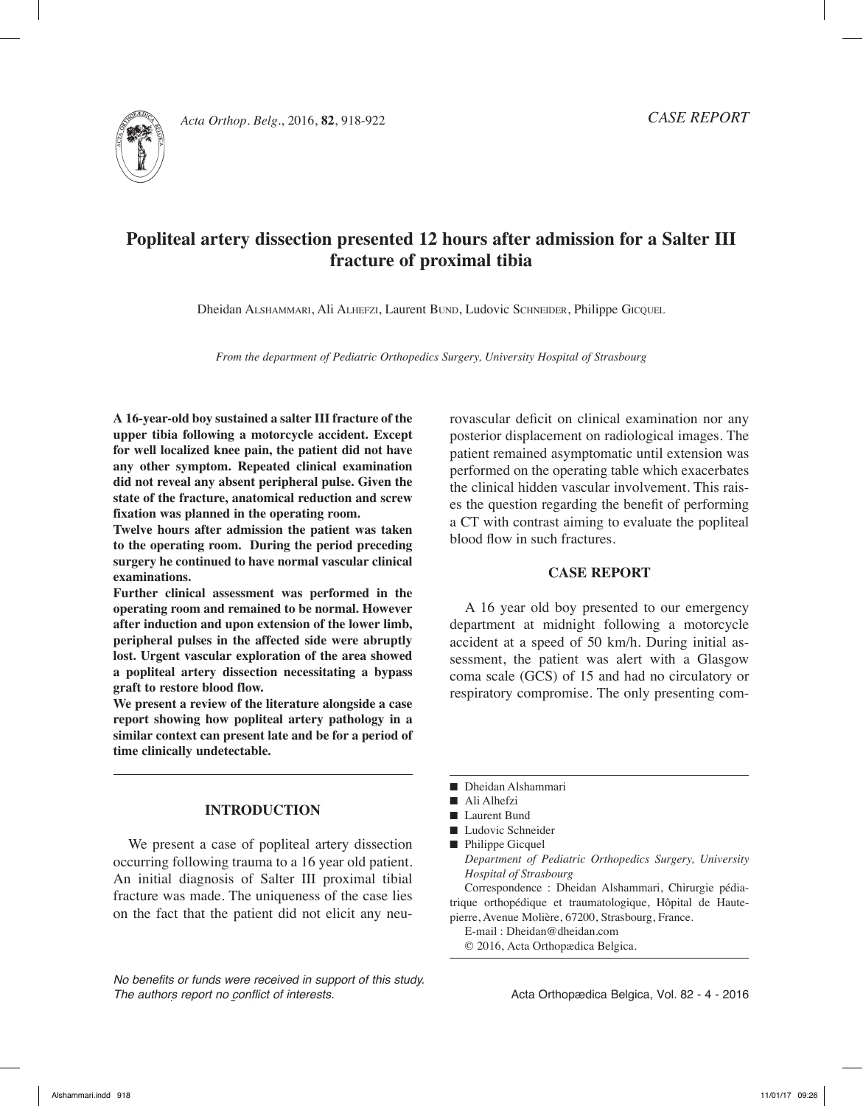

Acta Orthop. Belg., 2016, **82**, 918-922

# **Popliteal artery dissection presented 12 hours after admission for a Salter III fracture of proximal tibia**

Dheidan ALSHAMMARI, Ali ALHEFZI, Laurent BUND, Ludovic SCHNEIDER, Philippe GICQUEL

*From the department of Pediatric Orthopedics Surgery, University Hospital of Strasbourg*

**A 16-year-old boy sustained a salter III fracture of the upper tibia following a motorcycle accident. Except for well localized knee pain, the patient did not have any other symptom. Repeated clinical examination did not reveal any absent peripheral pulse. Given the state of the fracture, anatomical reduction and screw fixation was planned in the operating room.**

**Twelve hours after admission the patient was taken to the operating room. During the period preceding surgery he continued to have normal vascular clinical examinations.**

**Further clinical assessment was performed in the operating room and remained to be normal. However after induction and upon extension of the lower limb, peripheral pulses in the affected side were abruptly lost. Urgent vascular exploration of the area showed a popliteal artery dissection necessitating a bypass graft to restore blood flow.**

**We present a review of the literature alongside a case report showing how popliteal artery pathology in a similar context can present late and be for a period of time clinically undetectable.**

## **Introduction**

We present a case of popliteal artery dissection occurring following trauma to a 16 year old patient. An initial diagnosis of Salter III proximal tibial fracture was made. The uniqueness of the case lies on the fact that the patient did not elicit any neu-

*No benefits or funds were received in support of this study. The authors report no conflict of interests.* 

rovascular deficit on clinical examination nor any posterior displacement on radiological images. The patient remained asymptomatic until extension was performed on the operating table which exacerbates the clinical hidden vascular involvement. This raises the question regarding the benefit of performing a CT with contrast aiming to evaluate the popliteal blood flow in such fractures.

## **Case Report**

A 16 year old boy presented to our emergency department at midnight following a motorcycle accident at a speed of 50 km/h. During initial assessment, the patient was alert with a Glasgow coma scale (GCS) of 15 and had no circulatory or respiratory compromise. The only presenting com-

- Dheidan Alshammari
- Ali Alhefzi
- Laurent Bund
- Ludovic Schneider
- n Philippe Gicquel
- *Department of Pediatric Orthopedics Surgery, University Hospital of Strasbourg*

Correspondence : Dheidan Alshammari, Chirurgie pédiatrique orthopédique et traumatologique, Hôpital de Hautepierre, Avenue Molière, 67200, Strasbourg, France.

- E-mail : Dheidan@dheidan.com
- © 2016, Acta Orthopædica Belgica.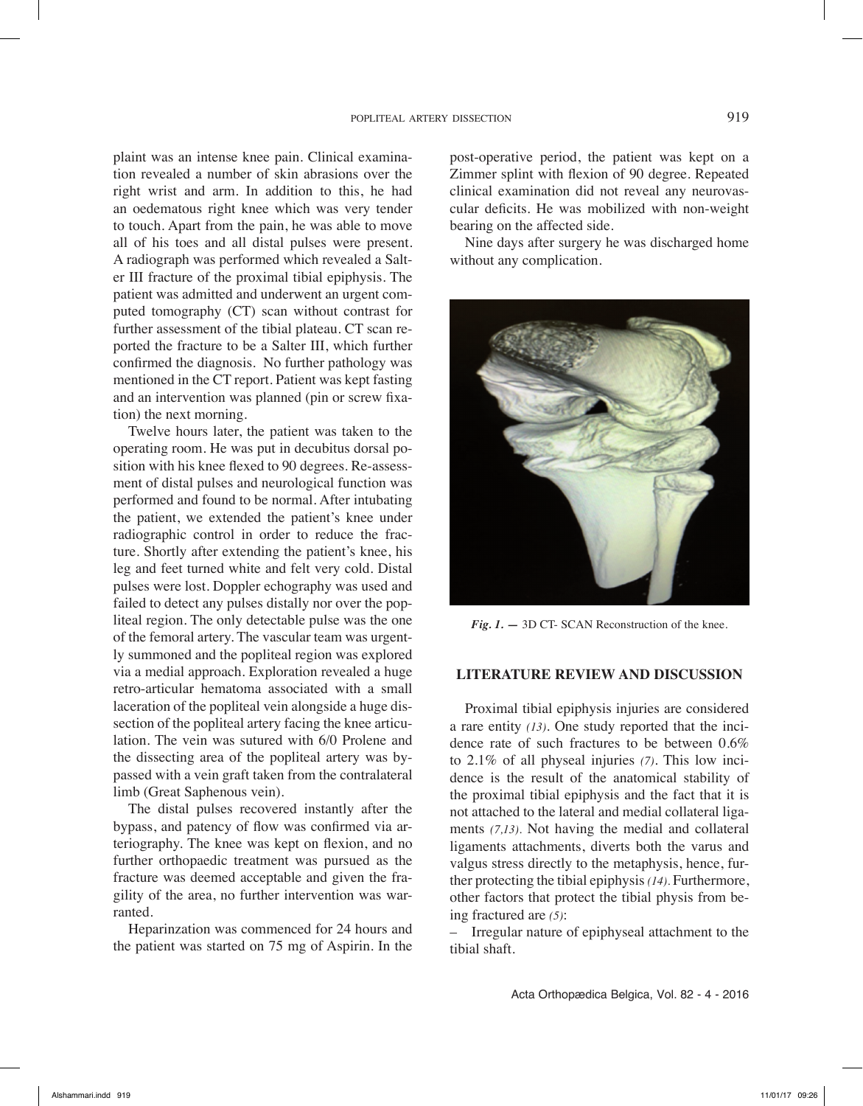plaint was an intense knee pain. Clinical examination revealed a number of skin abrasions over the right wrist and arm. In addition to this, he had an oedematous right knee which was very tender to touch. Apart from the pain, he was able to move all of his toes and all distal pulses were present. A radiograph was performed which revealed a Salter III fracture of the proximal tibial epiphysis. The patient was admitted and underwent an urgent computed tomography (CT) scan without contrast for further assessment of the tibial plateau. CT scan reported the fracture to be a Salter III, which further confirmed the diagnosis. No further pathology was mentioned in the CT report. Patient was kept fasting and an intervention was planned (pin or screw fixation) the next morning.

Twelve hours later, the patient was taken to the operating room. He was put in decubitus dorsal position with his knee flexed to 90 degrees. Re-assessment of distal pulses and neurological function was performed and found to be normal. After intubating the patient, we extended the patient's knee under radiographic control in order to reduce the fracture. Shortly after extending the patient's knee, his leg and feet turned white and felt very cold. Distal pulses were lost. Doppler echography was used and failed to detect any pulses distally nor over the popliteal region. The only detectable pulse was the one of the femoral artery. The vascular team was urgently summoned and the popliteal region was explored via a medial approach. Exploration revealed a huge retro-articular hematoma associated with a small laceration of the popliteal vein alongside a huge dissection of the popliteal artery facing the knee articulation. The vein was sutured with 6/0 Prolene and the dissecting area of the popliteal artery was bypassed with a vein graft taken from the contralateral limb (Great Saphenous vein).

The distal pulses recovered instantly after the bypass, and patency of flow was confirmed via arteriography. The knee was kept on flexion, and no further orthopaedic treatment was pursued as the fracture was deemed acceptable and given the fragility of the area, no further intervention was warranted.

Heparinzation was commenced for 24 hours and the patient was started on 75 mg of Aspirin. In the

post-operative period, the patient was kept on a Zimmer splint with flexion of 90 degree. Repeated clinical examination did not reveal any neurovascular deficits. He was mobilized with non-weight bearing on the affected side.

Nine days after surgery he was discharged home without any complication.



*Fig. 1. —* 3D CT- SCAN Reconstruction of the knee.

#### **Literature Review and discussion**

Proximal tibial epiphysis injuries are considered a rare entity *(13)*. One study reported that the incidence rate of such fractures to be between 0.6% to 2.1% of all physeal injuries *(7)*. This low incidence is the result of the anatomical stability of the proximal tibial epiphysis and the fact that it is not attached to the lateral and medial collateral ligaments *(7,13).* Not having the medial and collateral ligaments attachments, diverts both the varus and valgus stress directly to the metaphysis, hence, further protecting the tibial epiphysis *(14).* Furthermore, other factors that protect the tibial physis from being fractured are *(5)*:

– Irregular nature of epiphyseal attachment to the tibial shaft.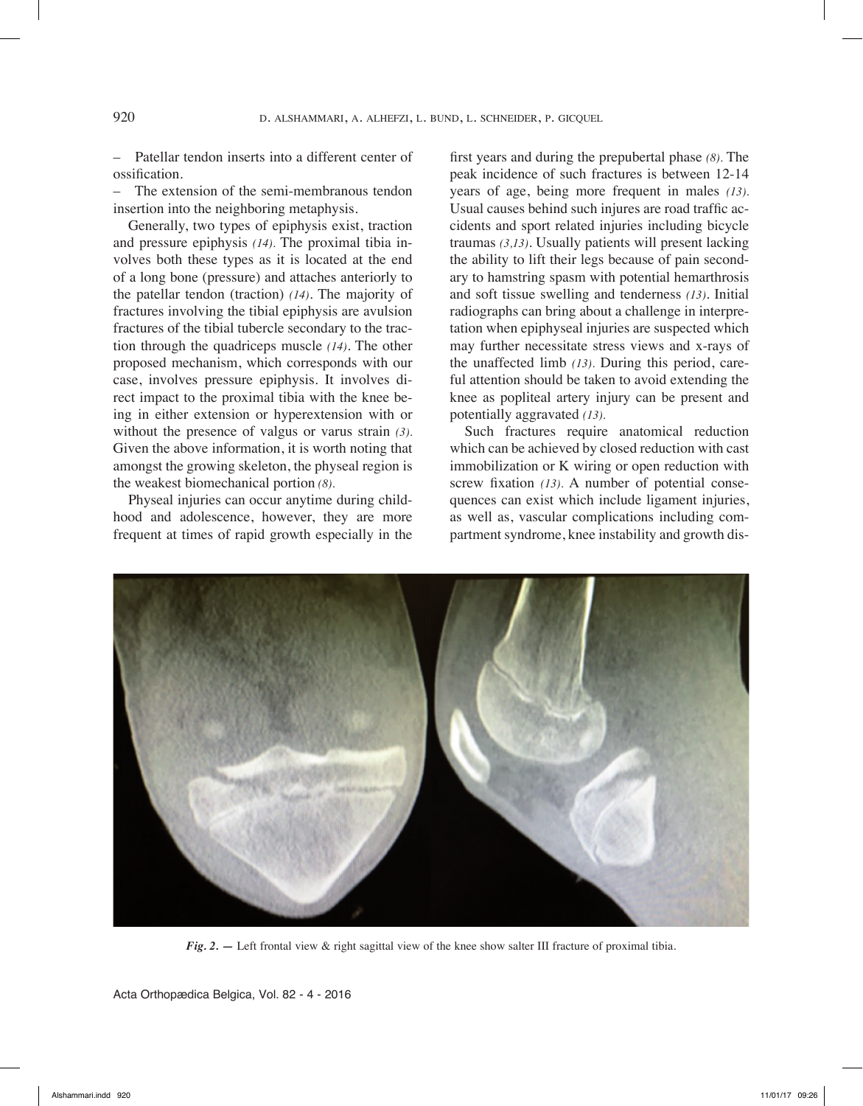– Patellar tendon inserts into a different center of ossification.

– The extension of the semi-membranous tendon insertion into the neighboring metaphysis.

Generally, two types of epiphysis exist, traction and pressure epiphysis *(14).* The proximal tibia involves both these types as it is located at the end of a long bone (pressure) and attaches anteriorly to the patellar tendon (traction) *(14)*. The majority of fractures involving the tibial epiphysis are avulsion fractures of the tibial tubercle secondary to the traction through the quadriceps muscle *(14)*. The other proposed mechanism, which corresponds with our case, involves pressure epiphysis. It involves direct impact to the proximal tibia with the knee being in either extension or hyperextension with or without the presence of valgus or varus strain *(3).*  Given the above information, it is worth noting that amongst the growing skeleton, the physeal region is the weakest biomechanical portion *(8).*

Physeal injuries can occur anytime during childhood and adolescence, however, they are more frequent at times of rapid growth especially in the

first years and during the prepubertal phase *(8).* The peak incidence of such fractures is between 12-14 years of age, being more frequent in males *(13).* Usual causes behind such injures are road traffic accidents and sport related injuries including bicycle traumas *(3,13)*. Usually patients will present lacking the ability to lift their legs because of pain secondary to hamstring spasm with potential hemarthrosis and soft tissue swelling and tenderness *(13)*. Initial radiographs can bring about a challenge in interpretation when epiphyseal injuries are suspected which may further necessitate stress views and x-rays of the unaffected limb *(13).* During this period, careful attention should be taken to avoid extending the knee as popliteal artery injury can be present and potentially aggravated *(13).*

Such fractures require anatomical reduction which can be achieved by closed reduction with cast immobilization or K wiring or open reduction with screw fixation *(13).* A number of potential consequences can exist which include ligament injuries, as well as, vascular complications including compartment syndrome, knee instability and growth dis-



*Fig. 2.* — Left frontal view & right sagittal view of the knee show salter III fracture of proximal tibia.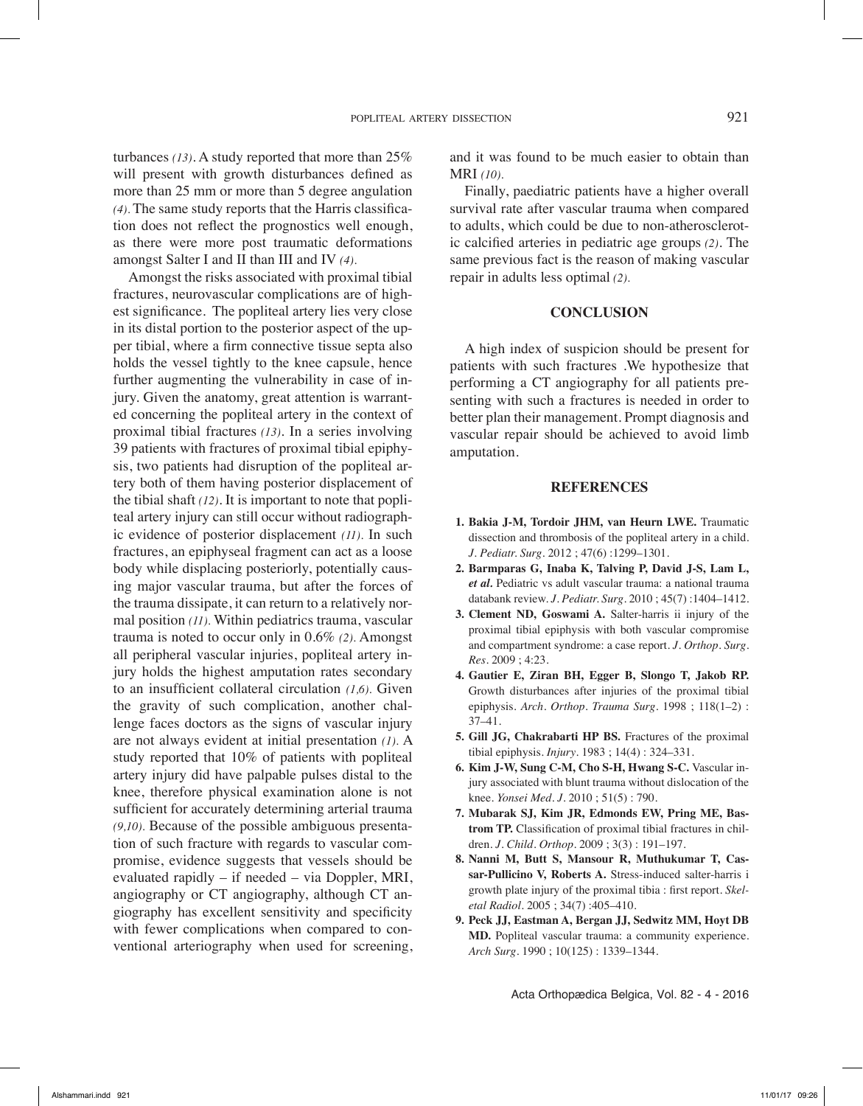turbances *(13)*. A study reported that more than 25% will present with growth disturbances defined as more than 25 mm or more than 5 degree angulation *(4).* The same study reports that the Harris classification does not reflect the prognostics well enough, as there were more post traumatic deformations amongst Salter I and II than III and IV *(4).*

Amongst the risks associated with proximal tibial fractures, neurovascular complications are of highest significance. The popliteal artery lies very close in its distal portion to the posterior aspect of the upper tibial, where a firm connective tissue septa also holds the vessel tightly to the knee capsule, hence further augmenting the vulnerability in case of injury. Given the anatomy, great attention is warranted concerning the popliteal artery in the context of proximal tibial fractures *(13)*. In a series involving 39 patients with fractures of proximal tibial epiphysis, two patients had disruption of the popliteal artery both of them having posterior displacement of the tibial shaft *(12)*. It is important to note that popliteal artery injury can still occur without radiographic evidence of posterior displacement *(11).* In such fractures, an epiphyseal fragment can act as a loose body while displacing posteriorly, potentially causing major vascular trauma, but after the forces of the trauma dissipate, it can return to a relatively normal position *(11).* Within pediatrics trauma, vascular trauma is noted to occur only in 0.6% *(2).* Amongst all peripheral vascular injuries, popliteal artery injury holds the highest amputation rates secondary to an insufficient collateral circulation *(1,6).* Given the gravity of such complication, another challenge faces doctors as the signs of vascular injury are not always evident at initial presentation *(1).* A study reported that 10% of patients with popliteal artery injury did have palpable pulses distal to the knee, therefore physical examination alone is not sufficient for accurately determining arterial trauma *(9,10).* Because of the possible ambiguous presentation of such fracture with regards to vascular compromise, evidence suggests that vessels should be evaluated rapidly – if needed – via Doppler, MRI, angiography or CT angiography, although CT angiography has excellent sensitivity and specificity with fewer complications when compared to conventional arteriography when used for screening, and it was found to be much easier to obtain than MRI *(10).*

Finally, paediatric patients have a higher overall survival rate after vascular trauma when compared to adults, which could be due to non-atherosclerotic calcified arteries in pediatric age groups *(2)*. The same previous fact is the reason of making vascular repair in adults less optimal *(2).* 

#### **Conclusion**

A high index of suspicion should be present for patients with such fractures .We hypothesize that performing a CT angiography for all patients presenting with such a fractures is needed in order to better plan their management. Prompt diagnosis and vascular repair should be achieved to avoid limb amputation.

#### **References**

- **1. Bakia J-M, Tordoir JHM, van Heurn LWE.** Traumatic dissection and thrombosis of the popliteal artery in a child. *J. Pediatr. Surg.* 2012 ; 47(6) :1299–1301.
- **2. Barmparas G, Inaba K, Talving P, David J-S, Lam L,**  *et al.* Pediatric vs adult vascular trauma: a national trauma databank review. *J. Pediatr. Surg.* 2010 ; 45(7) :1404–1412.
- **3. Clement ND, Goswami A.** Salter-harris ii injury of the proximal tibial epiphysis with both vascular compromise and compartment syndrome: a case report. *J. Orthop. Surg. Res.* 2009 ; 4:23.
- **4. Gautier E, Ziran BH, Egger B, Slongo T, Jakob RP.**  Growth disturbances after injuries of the proximal tibial epiphysis. *Arch. Orthop. Trauma Surg.* 1998 ; 118(1–2) : 37–41.
- **5. Gill JG, Chakrabarti HP BS.** Fractures of the proximal tibial epiphysis. *Injury*. 1983 ; 14(4) : 324–331.
- **6. Kim J-W, Sung C-M, Cho S-H, Hwang S-C.** Vascular injury associated with blunt trauma without dislocation of the knee. *Yonsei Med. J.* 2010 ; 51(5) : 790.
- **7. Mubarak SJ, Kim JR, Edmonds EW, Pring ME, Bastrom TP.** Classification of proximal tibial fractures in children. *J. Child. Orthop.* 2009 ; 3(3) : 191–197.
- **8. Nanni M, Butt S, Mansour R, Muthukumar T, Cassar-Pullicino V, Roberts A.** Stress-induced salter-harris i growth plate injury of the proximal tibia : first report. *Skeletal Radiol.* 2005 ; 34(7) :405–410.
- **9. Peck JJ, Eastman A, Bergan JJ, Sedwitz MM, Hoyt DB MD.** Popliteal vascular trauma: a community experience. *Arch Surg*. 1990 ; 10(125) : 1339–1344.